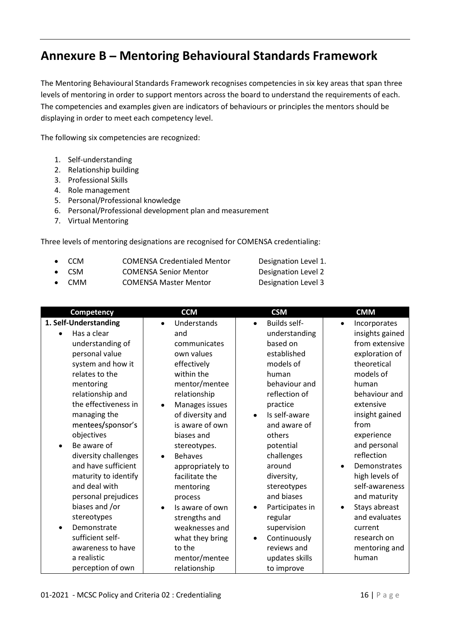## Annexure B - Mentoring Behavioural Standards Framework

The Mentoring Behavioural Standards Framework recognises competencies in six key areas that span three levels of mentoring in order to support mentors across the board to understand the requirements of each. The competencies and examples given are indicators of behaviours or principles the mentors should be displaying in order to meet each competency level.

The following six competencies are recognized:

- 1. Self-understanding
- 2. Relationship building
- 3. Professional Skills
- 4. Role management
- 5. Personal/Professional knowledge
- 6. Personal/Professional development plan and measurement
- 7. Virtual Mentoring

Three levels of mentoring designations are recognised for COMENSA credentialing:

- CCM COMENSA Credentialed Mentor Designation Level 1.
- CSM COMENSA Senior Mentor Designation Level 2
- CMM COMENSA Master Mentor Designation Level 3
- 

|           | Competency            |           | <b>CCM</b>       |           | <b>CSM</b>          |           | <b>CMM</b>      |
|-----------|-----------------------|-----------|------------------|-----------|---------------------|-----------|-----------------|
|           | 1. Self-Understanding | $\bullet$ | Understands      | $\bullet$ | <b>Builds self-</b> | $\bullet$ | Incorporates    |
| $\bullet$ | Has a clear           |           | and              |           | understanding       |           | insights gained |
|           | understanding of      |           | communicates     |           | based on            |           | from extensive  |
|           | personal value        |           | own values       |           | established         |           | exploration of  |
|           | system and how it     |           | effectively      |           | models of           |           | theoretical     |
|           | relates to the        |           | within the       |           | human               |           | models of       |
|           | mentoring             |           | mentor/mentee    |           | behaviour and       |           | human           |
|           | relationship and      |           | relationship     |           | reflection of       |           | behaviour and   |
|           | the effectiveness in  |           | Manages issues   |           | practice            |           | extensive       |
|           | managing the          |           | of diversity and |           | Is self-aware       |           | insight gained  |
|           | mentees/sponsor's     |           | is aware of own  |           | and aware of        |           | from            |
|           | objectives            |           | biases and       |           | others              |           | experience      |
| $\bullet$ | Be aware of           |           | stereotypes.     |           | potential           |           | and personal    |
|           | diversity challenges  | $\bullet$ | <b>Behaves</b>   |           | challenges          |           | reflection      |
|           | and have sufficient   |           | appropriately to |           | around              | $\bullet$ | Demonstrates    |
|           | maturity to identify  |           | facilitate the   |           | diversity,          |           | high levels of  |
|           | and deal with         |           | mentoring        |           | stereotypes         |           | self-awareness  |
|           | personal prejudices   |           | process          |           | and biases          |           | and maturity    |
|           | biases and /or        | $\bullet$ | Is aware of own  | $\bullet$ | Participates in     | $\bullet$ | Stays abreast   |
|           | stereotypes           |           | strengths and    |           | regular             |           | and evaluates   |
|           | Demonstrate           |           | weaknesses and   |           | supervision         |           | current         |
|           | sufficient self-      |           | what they bring  | $\bullet$ | Continuously        |           | research on     |
|           | awareness to have     |           | to the           |           | reviews and         |           | mentoring and   |
|           | a realistic           |           | mentor/mentee    |           | updates skills      |           | human           |
|           | perception of own     |           | relationship     |           | to improve          |           |                 |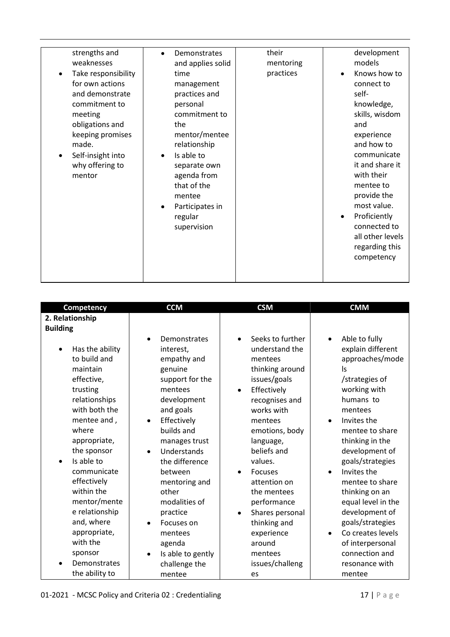| strengths and<br>weaknesses<br>Take responsibility<br>for own actions<br>and demonstrate<br>commitment to<br>meeting<br>obligations and<br>keeping promises<br>made.<br>Self-insight into<br>why offering to<br>mentor | Demonstrates<br>$\bullet$<br>and applies solid<br>time<br>management<br>practices and<br>personal<br>commitment to<br>the<br>mentor/mentee<br>relationship<br>Is able to<br>$\bullet$<br>separate own<br>agenda from<br>that of the<br>mentee<br>Participates in<br>$\bullet$<br>regular<br>supervision | their<br>mentoring<br>practices | development<br>models<br>Knows how to<br>$\bullet$<br>connect to<br>self-<br>knowledge,<br>skills, wisdom<br>and<br>experience<br>and how to<br>communicate<br>it and share it<br>with their<br>mentee to<br>provide the<br>most value.<br>Proficiently<br>$\bullet$<br>connected to<br>all other levels<br>regarding this<br>competency |
|------------------------------------------------------------------------------------------------------------------------------------------------------------------------------------------------------------------------|---------------------------------------------------------------------------------------------------------------------------------------------------------------------------------------------------------------------------------------------------------------------------------------------------------|---------------------------------|------------------------------------------------------------------------------------------------------------------------------------------------------------------------------------------------------------------------------------------------------------------------------------------------------------------------------------------|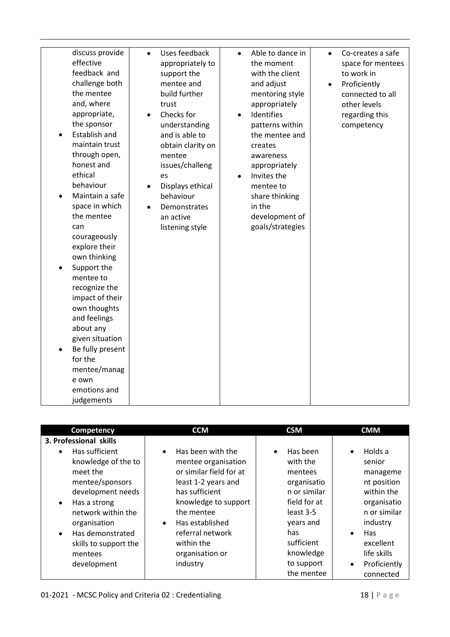| discuss provide<br>effective<br>feedback and<br>challenge both<br>the mentee<br>and, where<br>appropriate,<br>the sponsor<br>Establish and<br>maintain trust<br>through open,<br>honest and<br>ethical<br>behaviour<br>Maintain a safe<br>space in which<br>the mentee<br>can<br>courageously<br>explore their<br>own thinking<br>Support the<br>mentee to<br>recognize the<br>impact of their<br>own thoughts<br>and feelings<br>about any<br>given situation<br>Be fully present<br>for the<br>mentee/manag<br>e own<br>emotions and<br>judgements | Uses feedback<br>$\bullet$<br>appropriately to<br>support the<br>mentee and<br>build further<br>trust<br>Checks for<br>$\bullet$<br>understanding<br>and is able to<br>obtain clarity on<br>mentee<br>issues/challeng<br>es<br>Displays ethical<br>$\bullet$<br>behaviour<br>Demonstrates<br>$\bullet$<br>an active<br>listening style | Able to dance in<br>Co-creates a safe<br>$\bullet$<br>$\bullet$<br>the moment<br>space for mentees<br>with the client<br>to work in<br>and adjust<br>Proficiently<br>$\bullet$<br>mentoring style<br>connected to all<br>appropriately<br>other levels<br>Identifies<br>regarding this<br>$\bullet$<br>patterns within<br>competency<br>the mentee and<br>creates<br>awareness<br>appropriately<br>Invites the<br>$\bullet$<br>mentee to<br>share thinking<br>in the<br>development of<br>goals/strategies |  |
|------------------------------------------------------------------------------------------------------------------------------------------------------------------------------------------------------------------------------------------------------------------------------------------------------------------------------------------------------------------------------------------------------------------------------------------------------------------------------------------------------------------------------------------------------|----------------------------------------------------------------------------------------------------------------------------------------------------------------------------------------------------------------------------------------------------------------------------------------------------------------------------------------|------------------------------------------------------------------------------------------------------------------------------------------------------------------------------------------------------------------------------------------------------------------------------------------------------------------------------------------------------------------------------------------------------------------------------------------------------------------------------------------------------------|--|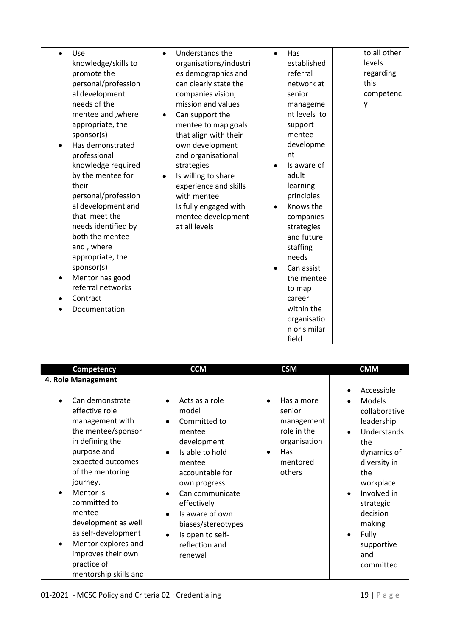| Use<br>$\bullet$              | $\bullet$ | Understands the        | $\bullet$ | Has          | to all other |
|-------------------------------|-----------|------------------------|-----------|--------------|--------------|
| knowledge/skills to           |           | organisations/industri |           | established  | levels       |
| promote the                   |           | es demographics and    |           | referral     | regarding    |
| personal/profession           |           | can clearly state the  |           | network at   | this         |
| al development                |           | companies vision,      |           | senior       | competenc    |
| needs of the                  |           | mission and values     |           | manageme     | у            |
| mentee and , where            | $\bullet$ | Can support the        |           | nt levels to |              |
| appropriate, the              |           | mentee to map goals    |           | support      |              |
| sponsor(s)                    |           | that align with their  |           | mentee       |              |
| Has demonstrated<br>$\bullet$ |           | own development        |           | developme    |              |
| professional                  |           | and organisational     |           | nt           |              |
| knowledge required            |           | strategies             |           | Is aware of  |              |
| by the mentee for             | $\bullet$ | Is willing to share    |           | adult        |              |
| their                         |           | experience and skills  |           | learning     |              |
| personal/profession           |           | with mentee            |           | principles   |              |
| al development and            |           | Is fully engaged with  |           | Knows the    |              |
| that meet the                 |           | mentee development     |           | companies    |              |
| needs identified by           |           | at all levels          |           | strategies   |              |
| both the mentee               |           |                        |           | and future   |              |
| and, where                    |           |                        |           | staffing     |              |
| appropriate, the              |           |                        |           | needs        |              |
| sponsor(s)                    |           |                        |           | Can assist   |              |
| Mentor has good<br>$\bullet$  |           |                        |           | the mentee   |              |
| referral networks             |           |                        |           | to map       |              |
| Contract                      |           |                        |           | career       |              |
| Documentation                 |           |                        |           | within the   |              |
|                               |           |                        |           | organisatio  |              |
|                               |           |                        |           | n or similar |              |
|                               |           |                        |           | field        |              |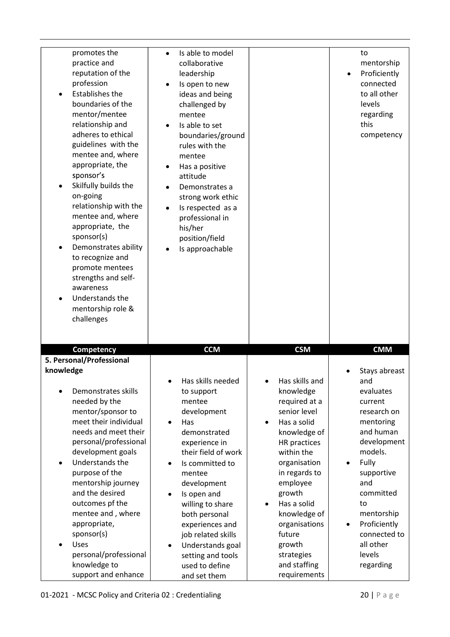| promotes the                                                                                                                                                                                                                                                                                                                                                                                                                                                                                                                                                            |                                                                                                                                                                                                                                                                                                                                                 |                                                                                                                                                                                                                                                         |                                                                                                                                                                                                                                          |
|-------------------------------------------------------------------------------------------------------------------------------------------------------------------------------------------------------------------------------------------------------------------------------------------------------------------------------------------------------------------------------------------------------------------------------------------------------------------------------------------------------------------------------------------------------------------------|-------------------------------------------------------------------------------------------------------------------------------------------------------------------------------------------------------------------------------------------------------------------------------------------------------------------------------------------------|---------------------------------------------------------------------------------------------------------------------------------------------------------------------------------------------------------------------------------------------------------|------------------------------------------------------------------------------------------------------------------------------------------------------------------------------------------------------------------------------------------|
| practice and<br>reputation of the<br>profession<br><b>Establishes the</b><br>$\bullet$<br>boundaries of the<br>mentor/mentee<br>relationship and<br>adheres to ethical<br>guidelines with the<br>mentee and, where<br>appropriate, the<br>sponsor's<br>Skilfully builds the<br>$\bullet$<br>on-going<br>relationship with the<br>mentee and, where<br>appropriate, the<br>sponsor(s)<br>Demonstrates ability<br>$\bullet$<br>to recognize and<br>promote mentees<br>strengths and self-<br>awareness<br>Understands the<br>$\bullet$<br>mentorship role &<br>challenges | Is able to model<br>collaborative<br>leadership<br>Is open to new<br>ideas and being<br>challenged by<br>mentee<br>Is able to set<br>boundaries/ground<br>rules with the<br>mentee<br>Has a positive<br>attitude<br>Demonstrates a<br>strong work ethic<br>Is respected as a<br>professional in<br>his/her<br>position/field<br>Is approachable |                                                                                                                                                                                                                                                         | to<br>mentorship<br>Proficiently<br>$\bullet$<br>connected<br>to all other<br>levels<br>regarding<br>this<br>competency                                                                                                                  |
|                                                                                                                                                                                                                                                                                                                                                                                                                                                                                                                                                                         |                                                                                                                                                                                                                                                                                                                                                 |                                                                                                                                                                                                                                                         |                                                                                                                                                                                                                                          |
| <b>Competency</b><br>5. Personal/Professional                                                                                                                                                                                                                                                                                                                                                                                                                                                                                                                           | <b>CCM</b>                                                                                                                                                                                                                                                                                                                                      | <b>CSM</b>                                                                                                                                                                                                                                              | <b>CMM</b>                                                                                                                                                                                                                               |
| knowledge<br>Demonstrates skills<br>$\bullet$<br>needed by the<br>mentor/sponsor to<br>meet their individual<br>needs and meet their<br>personal/professional<br>development goals<br>Understands the<br>$\bullet$<br>purpose of the<br>mentorship journey<br>and the desired<br>outcomes pf the<br>mentee and, where                                                                                                                                                                                                                                                   | Has skills needed<br>to support<br>mentee<br>development<br>Has<br>$\bullet$<br>demonstrated<br>experience in<br>their field of work<br>Is committed to<br>mentee<br>development<br>Is open and<br>willing to share<br>both personal<br>experiences and                                                                                         | Has skills and<br>knowledge<br>required at a<br>senior level<br>Has a solid<br>knowledge of<br>HR practices<br>within the<br>organisation<br>in regards to<br>employee<br>growth<br>Has a solid<br>$\bullet$<br>knowledge of<br>organisations<br>future | Stays abreast<br>and<br>evaluates<br>current<br>research on<br>mentoring<br>and human<br>development<br>models.<br>Fully<br>$\bullet$<br>supportive<br>and<br>committed<br>to<br>mentorship<br>Proficiently<br>$\bullet$<br>connected to |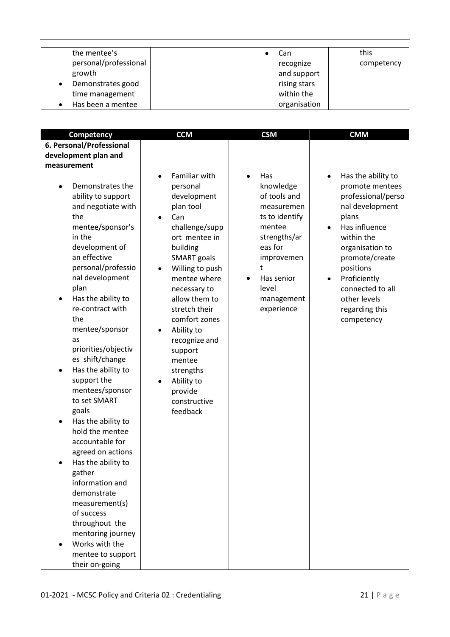| the mentee's          |  | Can-         | this       |
|-----------------------|--|--------------|------------|
| personal/professional |  | recognize    | competency |
| growth                |  | and support  |            |
| Demonstrates good     |  | rising stars |            |
| time management       |  | within the   |            |
| Has been a mentee     |  | organisation |            |